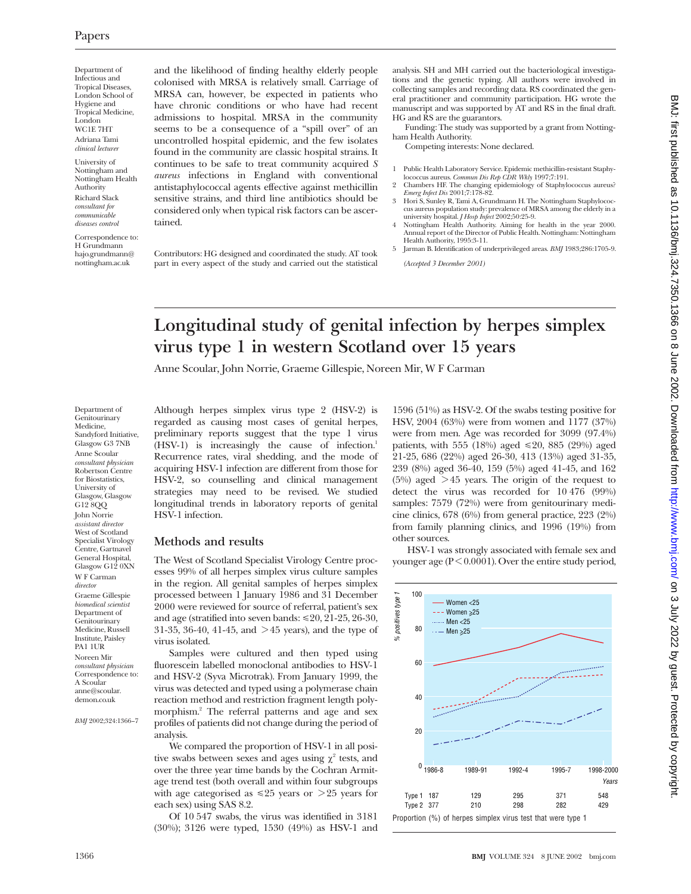Department of Infectious and Tropical Diseases, London School of Hygiene and Tropical Medicine, London WC1E 7HT Adriana Tami *clinical lecturer*

University of Nottingham and Nottingham Health Authority Richard Slack *consultant for communicable diseases control*

Correspondence to: H Grundmann hajo.grundmann@ nottingham.ac.uk

and the likelihood of finding healthy elderly people colonised with MRSA is relatively small. Carriage of MRSA can, however, be expected in patients who have chronic conditions or who have had recent admissions to hospital. MRSA in the community seems to be a consequence of a "spill over" of an uncontrolled hospital epidemic, and the few isolates found in the community are classic hospital strains. It continues to be safe to treat community acquired *S aureus* infections in England with conventional antistaphylococcal agents effective against methicillin sensitive strains, and third line antibiotics should be considered only when typical risk factors can be ascertained.

Contributors: HG designed and coordinated the study. AT took part in every aspect of the study and carried out the statistical

analysis. SH and MH carried out the bacteriological investigations and the genetic typing. All authors were involved in collecting samples and recording data. RS coordinated the general practitioner and community participation. HG wrote the manuscript and was supported by AT and RS in the final draft. HG and RS are the guarantors.

Funding: The study was supported by a grant from Nottingham Health Authority.

Competing interests: None declared.

- 1 Public Health Laboratory Service. Epidemic methicillin-resistant Staphy-
- lococcus aureus. *Commun Dis Rep CDR Wkly* 1997;7:191. 2 Chambers HF. The changing epidemiology of Staphylococcus aureus?
- *Emerg Infect Dis* 2001;7:178-82. 3 Hori S, Sunley R, Tami A, Grundmann H. The Nottingham Staphylococ-
- cus aureus population study: prevalence of MRSA among the elderly in a university hospital. *J Hosp Infect* 2002;50:25-9. 4 Nottingham Health Authority. Aiming for health in the year 2000.
- Annual report of the Director of Public Health. Nottingham: Nottingham Health Authority, 1995:3-11.
- 5 Jarman B. Identification of underprivileged areas. *BMJ* 1983;286:1705-9.

*(Accepted 3 December 2001)*

# **Longitudinal study of genital infection by herpes simplex virus type 1 in western Scotland over 15 years**

Anne Scoular, John Norrie, Graeme Gillespie, Noreen Mir, W F Carman

Department of Genitourinary Medicine, Sandyford Initiative, Glasgow G3 7NB Anne Scoular *consultant physician* Robertson Centre for Biostatistics, University of Glasgow, Glasgow G12 8QQ John Norrie *assistant director* West of Scotland Specialist Virology Centre, Gartnavel General Hospital, Glasgow G12 0XN W F Carman *director* Graeme Gillespie *biomedical scientist* Department of Genitourinary Medicine, Russell Institute, Paisley PA1 1UR Noreen Mir *consultant physician* Correspondence to: A Scoular anne@scoular. demon.co.uk

*BMJ* 2002;324:1366–7

Although herpes simplex virus type 2 (HSV-2) is regarded as causing most cases of genital herpes, preliminary reports suggest that the type 1 virus (HSV-1) is increasingly the cause of infection.<sup>1</sup> Recurrence rates, viral shedding, and the mode of acquiring HSV-1 infection are different from those for HSV-2, so counselling and clinical management strategies may need to be revised. We studied longitudinal trends in laboratory reports of genital HSV-1 infection.

#### **Methods and results**

The West of Scotland Specialist Virology Centre processes 99% of all herpes simplex virus culture samples in the region. All genital samples of herpes simplex processed between 1 January 1986 and 31 December 2000 were reviewed for source of referral, patient's sex and age (stratified into seven bands:  $\leq 20$ , 21-25, 26-30, 31-35, 36-40, 41-45, and  $>$  45 years), and the type of virus isolated.

Samples were cultured and then typed using fluorescein labelled monoclonal antibodies to HSV-1 and HSV-2 (Syva Microtrak). From January 1999, the virus was detected and typed using a polymerase chain reaction method and restriction fragment length polymorphism.<sup>2</sup> The referral patterns and age and sex profiles of patients did not change during the period of analysis.

We compared the proportion of HSV-1 in all positive swabs between sexes and ages using  $\chi^2$  tests, and over the three year time bands by the Cochran Armitage trend test (both overall and within four subgroups with age categorised as  $\leq 25$  years or  $\geq 25$  years for each sex) using SAS 8.2.

Of 10 547 swabs, the virus was identified in 3181 (30%); 3126 were typed, 1530 (49%) as HSV-1 and

1596 (51%) as HSV-2. Of the swabs testing positive for HSV, 2004 (63%) were from women and 1177 (37%) were from men. Age was recorded for 3099 (97.4%) patients, with 555 (18%) aged  $\leq 20$ , 885 (29%) aged 21-25, 686 (22%) aged 26-30, 413 (13%) aged 31-35, 239 (8%) aged 36-40, 159 (5%) aged 41-45, and 162  $(5%)$  aged  $>45$  years. The origin of the request to detect the virus was recorded for 10 476 (99%) samples: 7579 (72%) were from genitourinary medicine clinics, 678 (6%) from general practice, 223 (2%) from family planning clinics, and 1996 (19%) from other sources.

HSV-1 was strongly associated with female sex and younger age ( $P < 0.0001$ ). Over the entire study period,